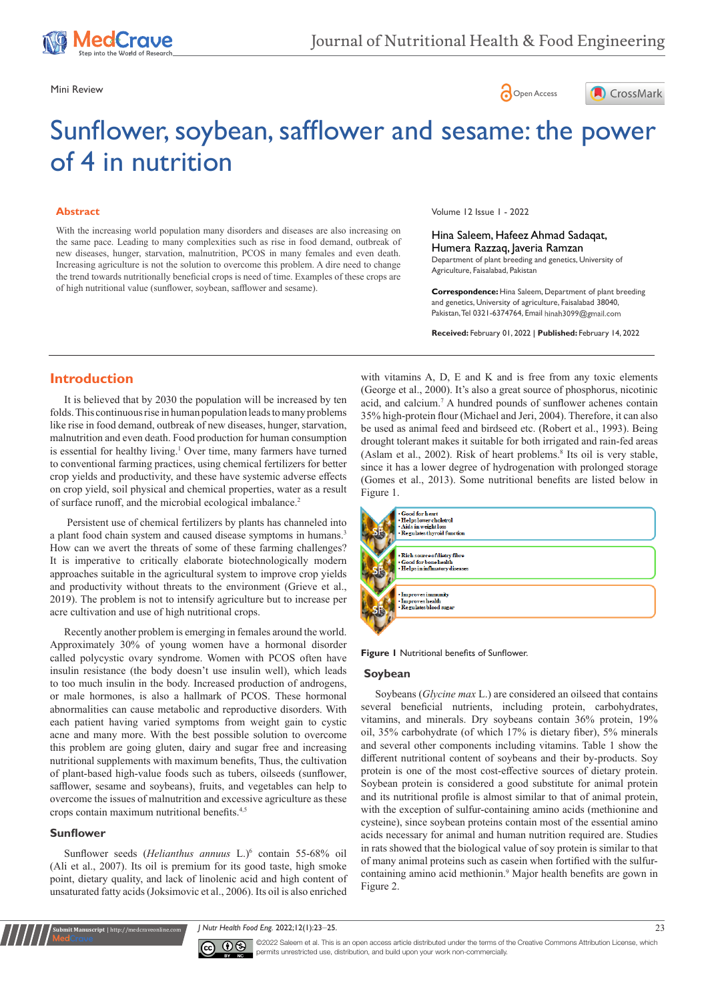





# Sunflower, soybean, safflower and sesame: the power of 4 in nutrition

### **Abstract**

With the increasing world population many disorders and diseases are also increasing on the same pace. Leading to many complexities such as rise in food demand, outbreak of new diseases, hunger, starvation, malnutrition, PCOS in many females and even death. Increasing agriculture is not the solution to overcome this problem. A dire need to change the trend towards nutritionally beneficial crops is need of time. Examples of these crops are of high nutritional value (sunflower, soybean, safflower and sesame).

Volume 12 Issue 1 - 2022

Hina Saleem, Hafeez Ahmad Sadaqat, Humera Razzaq, Javeria Ramzan Department of plant breeding and genetics, University of Agriculture, Faisalabad, Pakistan

**Correspondence:** Hina Saleem, Department of plant breeding and genetics, University of agriculture, Faisalabad 38040, Pakistan, Tel 0321-6374764, Email hinah 3099@gmail.com

**Received:** February 01, 2022 | **Published:** February 14, 2022

## **Introduction**

It is believed that by 2030 the population will be increased by ten folds. This continuous rise in human population leads to many problems like rise in food demand, outbreak of new diseases, hunger, starvation, malnutrition and even death. Food production for human consumption is essential for healthy living.<sup>1</sup> Over time, many farmers have turned to conventional farming practices, using chemical fertilizers for better crop yields and productivity, and these have systemic adverse effects on crop yield, soil physical and chemical properties, water as a result of surface runoff, and the microbial ecological imbalance.<sup>2</sup>

 Persistent use of chemical fertilizers by plants has channeled into a plant food chain system and caused disease symptoms in humans.<sup>3</sup> How can we avert the threats of some of these farming challenges? It is imperative to critically elaborate biotechnologically modern approaches suitable in the agricultural system to improve crop yields and productivity without threats to the environment (Grieve et al., 2019). The problem is not to intensify agriculture but to increase per acre cultivation and use of high nutritional crops.

Recently another problem is emerging in females around the world. Approximately 30% of young women have a hormonal disorder called polycystic ovary syndrome. Women with PCOS often have insulin resistance (the body doesn't use insulin well), which leads to too much insulin in the body. Increased production of androgens, or male hormones, is also a hallmark of PCOS. These hormonal abnormalities can cause metabolic and reproductive disorders. With each patient having varied symptoms from weight gain to cystic acne and many more. With the best possible solution to overcome this problem are going gluten, dairy and sugar free and increasing nutritional supplements with maximum benefits, Thus, the cultivation of plant-based high-value foods such as tubers, oilseeds (sunflower, safflower, sesame and soybeans), fruits, and vegetables can help to overcome the issues of malnutrition and excessive agriculture as these crops contain maximum nutritional benefits.<sup>4,5</sup>

#### **Sunflower**

**Kubmit Manuscript** | http://medcraveonline.c

Sunflower seeds (*Helianthus annuus* L.)<sup>6</sup> contain 55-68% oil (Ali et al., 2007). Its oil is premium for its good taste, high smoke point, dietary quality, and lack of linolenic acid and high content of unsaturated fatty acids (Joksimovic et al., 2006). Its oil is also enriched

with vitamins A, D, E and K and is free from any toxic elements (George et al., 2000). It's also a great source of phosphorus, nicotinic acid, and calcium.7 A hundred pounds of sunflower achenes contain 35% high-protein flour (Michael and Jeri, 2004). Therefore, it can also be used as animal feed and birdseed etc. (Robert et al., 1993). Being drought tolerant makes it suitable for both irrigated and rain-fed areas (Aslam et al., 2002). Risk of heart problems.<sup>8</sup> Its oil is very stable, since it has a lower degree of hydrogenation with prolonged storage (Gomes et al., 2013). Some nutritional benefits are listed below in Figure 1.





#### **Soybean**

Soybeans (*Glycine max* L.) are considered an oilseed that contains several beneficial nutrients, including protein, carbohydrates, vitamins, and minerals. Dry soybeans contain 36% protein, 19% oil, 35% carbohydrate (of which 17% is dietary fiber), 5% minerals and several other components including vitamins. Table 1 show the different nutritional content of soybeans and their by-products. Soy protein is one of the most cost-effective sources of dietary protein. Soybean protein is considered a good substitute for animal protein and its nutritional profile is almost similar to that of animal protein, with the exception of sulfur-containing amino acids (methionine and cysteine), since soybean proteins contain most of the essential amino acids necessary for animal and human nutrition required are. Studies in rats showed that the biological value of soy protein is similar to that of many animal proteins such as casein when fortified with the sulfurcontaining amino acid methionin.9 Major health benefits are gown in Figure 2.

*J Nutr Health Food Eng.* 2022;12(1):23‒25. 23



©2022 Saleem et al. This is an open access article distributed under the terms of the [Creative Commons Attribution License,](https://creativecommons.org/licenses/by-nc/4.0/) which permits unrestricted use, distribution, and build upon your work non-commercially.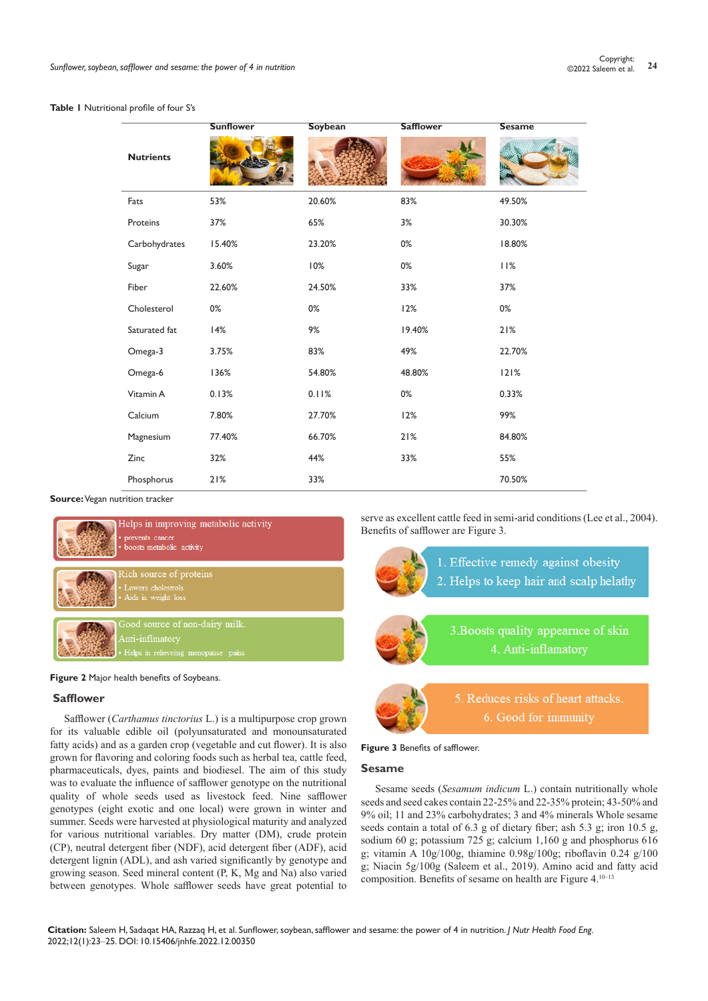#### **Table 1** Nutritional profile of four S's

|                  | <b>Sunflower</b> | <b>Soybean</b> | <b>Safflower</b> | <b>Sesame</b> |
|------------------|------------------|----------------|------------------|---------------|
| <b>Nutrients</b> |                  |                |                  |               |
| Fats             | 53%              | 20.60%         | 83%              | 49.50%        |
| Proteins         | 37%              | 65%            | 3%               | 30.30%        |
| Carbohydrates    | 15.40%           | 23.20%         | 0%               | 18.80%        |
| Sugar            | 3.60%            | 10%            | $0\%$            | 11%           |
| Fiber            | 22.60%           | 24.50%         | 33%              | 37%           |
| Cholesterol      | 0%               | $0\%$          | 12%              | $0\%$         |
| Saturated fat    | 14%              | 9%             | 19.40%           | 21%           |
| Omega-3          | 3.75%            | 83%            | 49%              | 22.70%        |
| Omega-6          | 136%             | 54.80%         | 48.80%           | 121%          |
| Vitamin A        | 0.13%            | 0.11%          | $0\%$            | 0.33%         |
| Calcium          | 7.80%            | 27.70%         | 12%              | 99%           |
| Magnesium        | 77.40%           | 66.70%         | 21%              | 84.80%        |
| Zinc             | 32%              | 44%            | 33%              | 55%           |
| Phosphorus       | 21%              | 33%            |                  | 70.50%        |

**Source:** Vegan nutrition tracker



Ielps in improving metabolic activity nts cancer **Andrew Co** 



lood source of non-dairy milk

**Figure 2** Major health benefits of Soybeans.

## **Safflower**

Safflower (*Carthamus tinctorius* L.) is a multipurpose crop grown for its valuable edible oil (polyunsaturated and monounsaturated fatty acids) and as a garden crop (vegetable and cut flower). It is also grown for flavoring and coloring foods such as herbal tea, cattle feed, pharmaceuticals, dyes, paints and biodiesel. The aim of this study was to evaluate the influence of safflower genotype on the nutritional quality of whole seeds used as livestock feed. Nine safflower genotypes (eight exotic and one local) were grown in winter and summer. Seeds were harvested at physiological maturity and analyzed for various nutritional variables. Dry matter (DM), crude protein (CP), neutral detergent fiber (NDF), acid detergent fiber (ADF), acid detergent lignin (ADL), and ash varied significantly by genotype and growing season. Seed mineral content (P, K, Mg and Na) also varied between genotypes. Whole safflower seeds have great potential to

serve as excellent cattle feed in semi-arid conditions (Lee et al., 2004). Benefits of safflower are Figure 3.



1. Effective remedy against obesity 2. Helps to keep hair and scalp helathy

3. Boosts quality appearnce of skin 4. Anti-inflamatory



5. Reduces risks of heart attacks. 6. Good for immunity

## **Figure 3** Benefits of safflower.

## **Sesame**

Sesame seeds (*Sesamum indicum* L.) contain nutritionally whole seeds and seed cakes contain 22-25% and 22-35% protein; 43-50% and 9% oil; 11 and 23% carbohydrates; 3 and 4% minerals Whole sesame seeds contain a total of 6.3 g of dietary fiber; ash 5.3 g; iron 10.5 g, sodium 60 g; potassium 725 g; calcium  $1,160$  g and phosphorus 616 g; vitamin A 10g/100g, thiamine 0.98g/100g; riboflavin 0.24 g/100 g; Niacin 5g/100g (Saleem et al., 2019). Amino acid and fatty acid composition. Benefits of sesame on health are Figure 4.10–13